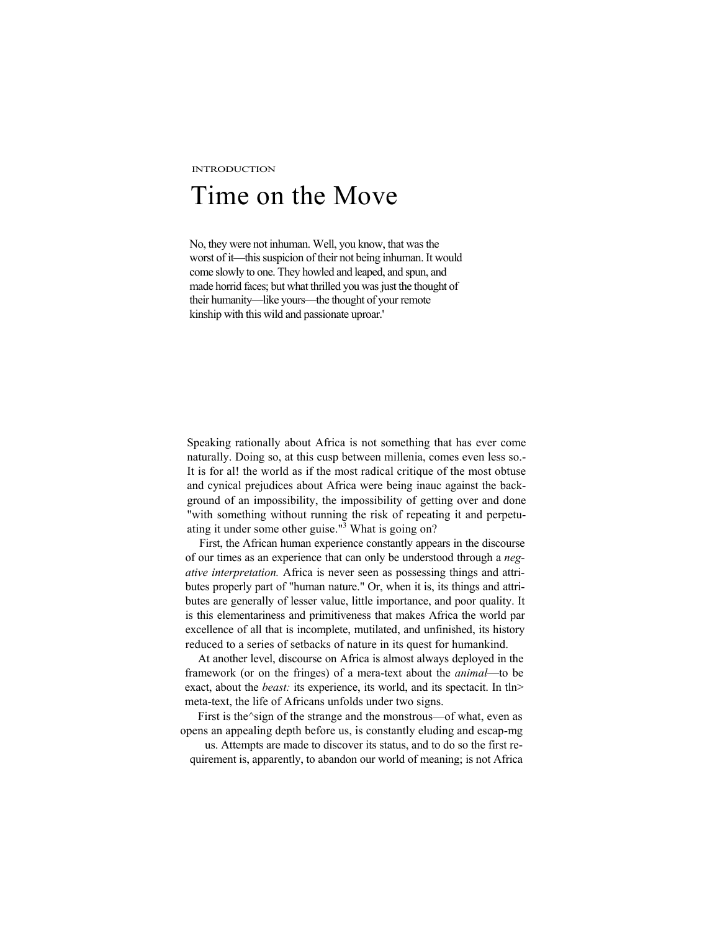# INTRODUCTION

# Time on the Move

No, they were not inhuman. Well, you know, that was the worst of it—this suspicion of their not being inhuman. It would come slowly to one. They howled and leaped, and spun, and made horrid faces; but what thrilled you was just the thought of their humanity—like yours—the thought of your remote kinship with this wild and passionate uproar.'

Speaking rationally about Africa is not something that has ever come naturally. Doing so, at this cusp between millenia, comes even less so.- It is for al! the world as if the most radical critique of the most obtuse and cynical prejudices about Africa were being inauc against the background of an impossibility, the impossibility of getting over and done "with something without running the risk of repeating it and perpetuating it under some other guise."<sup>3</sup> What is going on?

First, the African human experience constantly appears in the discourse of our times as an experience that can only be understood through a *negative interpretation.* Africa is never seen as possessing things and attributes properly part of "human nature." Or, when it is, its things and attributes are generally of lesser value, little importance, and poor quality. It is this elementariness and primitiveness that makes Africa the world par excellence of all that is incomplete, mutilated, and unfinished, its history reduced to a series of setbacks of nature in its quest for humankind.

At another level, discourse on Africa is almost always deployed in the framework (or on the fringes) of a mera-text about the *animal*—to be exact, about the *beast*: its experience, its world, and its spectacit. In tln> meta-text, the life of Africans unfolds under two signs.

First is the^sign of the strange and the monstrous—of what, even as opens an appealing depth before us, is constantly eluding and escap-mg us. Attempts are made to discover its status, and to do so the first requirement is, apparently, to abandon our world of meaning; is not Africa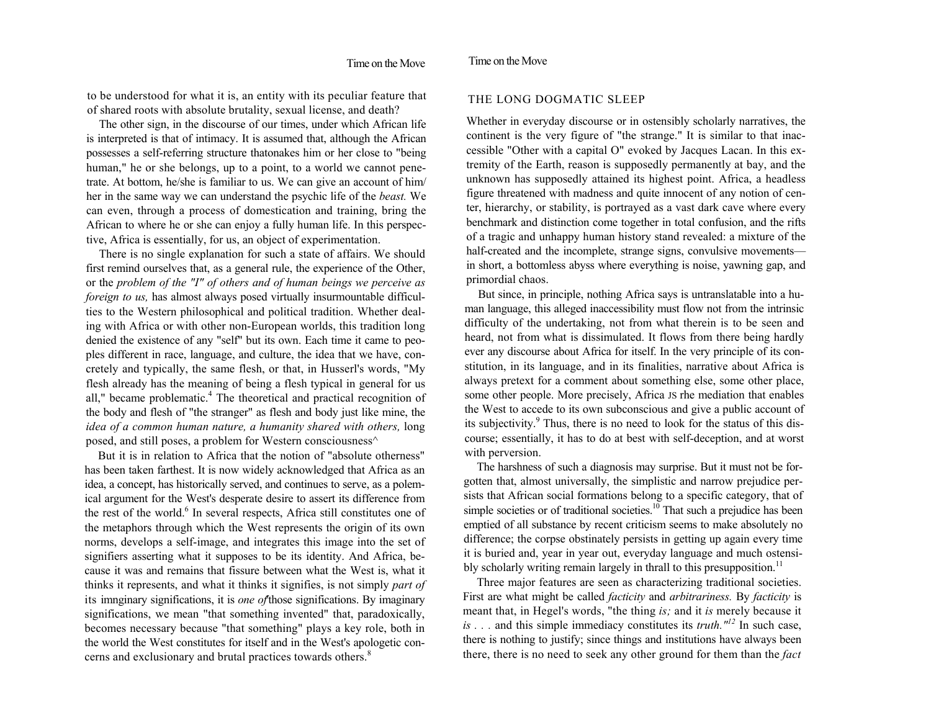Time on the Move Time on the Move

to be understood for what it is, an entity with its peculiar feature that of shared roots with absolute brutality, sexual license, and death?

The other sign, in the discourse of our times, under which African life is interpreted is that of intimacy. It is assumed that, although the African possesses a self-referring structure thatonakes him or her close to "being human," he or she belongs, up to a point, to a world we cannot penetrate. At bottom, he/she is familiar to us. We can give an account of him/ her in the same way we can understand the psychic life of the *beast.* We can even, through a process of domestication and training, bring the African to where he or she can enjoy a fully human life. In this perspective, Africa is essentially, for us, an object of experimentation.

There is no single explanation for such a state of affairs. We should first remind ourselves that, as a general rule, the experience of the Other, or the *problem of the "I" of others and of human beings we perceive as foreign to us, has almost always posed virtually insurmountable difficul*ties to the Western philosophical and political tradition. Whether dealing with Africa or with other non-European worlds, this tradition long denied the existence of any "self" but its own. Each time it came to peoples different in race, language, and culture, the idea that we have, concretely and typically, the same flesh, or that, in Husserl's words, "My flesh already has the meaning of being a flesh typical in general for us all," became problematic.<sup>4</sup> The theoretical and practical recognition of the body and flesh of "the stranger" as flesh and body just like mine, the *idea of a common human nature, a humanity shared with others, long* posed, and still poses, a problem for Western consciousness^

But it is in relation to Africa that the notion of "absolute otherness" has been taken farthest. It is now widely acknowledged that Africa as an idea, a concept, has historically served, and continues to serve, as a polemical argument for the West's desperate desire to assert its difference from the rest of the world.<sup>6</sup> In several respects, Africa still constitutes one of the metaphors through which the West represents the origin of its own norms, develops a self-image, and integrates this image into the set of signifiers asserting what it supposes to be its identity. And Africa, because it was and remains that fissure between what the West is, what it thinks it represents, and what it thinks it signifies, is not simply *part of*  its imnginary significations, it is *one of*'those significations. By imaginary significations, we mean "that something invented" that, paradoxically, becomes necessary because "that something" plays a key role, both in the world the West constitutes for itself and in the West's apologetic concerns and exclusionary and brutal practices towards others.<sup>8</sup>

### THE LONG DOGMATIC SLEEP

Whether in everyday discourse or in ostensibly scholarly narratives, the continent is the very figure of "the strange." It is similar to that inaccessible "Other with a capital O" evoked by Jacques Lacan. In this extremity of the Earth, reason is supposedly permanently at bay, and the unknown has supposedly attained its highest point. Africa, a headless figure threatened with madness and quite innocent of any notion of center, hierarchy, or stability, is portrayed as a vast dark cave where every benchmark and distinction come together in total confusion, and the rifts of a tragic and unhappy human history stand revealed: a mixture of the half-created and the incomplete, strange signs, convulsive movements in short, a bottomless abyss where everything is noise, yawning gap, and primordial chaos.

But since, in principle, nothing Africa says is untranslatable into a human language, this alleged inaccessibility must flow not from the intrinsic difficulty of the undertaking, not from what therein is to be seen and heard, not from what is dissimulated. It flows from there being hardly ever any discourse about Africa for itself. In the very principle of its constitution, in its language, and in its finalities, narrative about Africa is always pretext for a comment about something else, some other place, some other people. More precisely, Africa JS rhe mediation that enables the West to accede to its own subconscious and give a public account of its subjectivity.<sup>9</sup> Thus, there is no need to look for the status of this discourse; essentially, it has to do at best with self-deception, and at worst with perversion.

The harshness of such a diagnosis may surprise. But it must not be forgotten that, almost universally, the simplistic and narrow prejudice persists that African social formations belong to a specific category, that of simple societies or of traditional societies.<sup>10</sup> That such a prejudice has been emptied of all substance by recent criticism seems to make absolutely no difference; the corpse obstinately persists in getting up again every time it is buried and, year in year out, everyday language and much ostensibly scholarly writing remain largely in thrall to this presupposition.<sup>11</sup>

Three major features are seen as characterizing traditional societies. First are what might be called *facticity* and *arbitrariness.* By *facticity* is meant that, in Hegel's words, "the thing *is;* and it *is* merely because it *is . . .* and this simple immediacy constitutes its *truth."<sup>12</sup>* In such case, there is nothing to justify; since things and institutions have always been there, there is no need to seek any other ground for them than the *fact*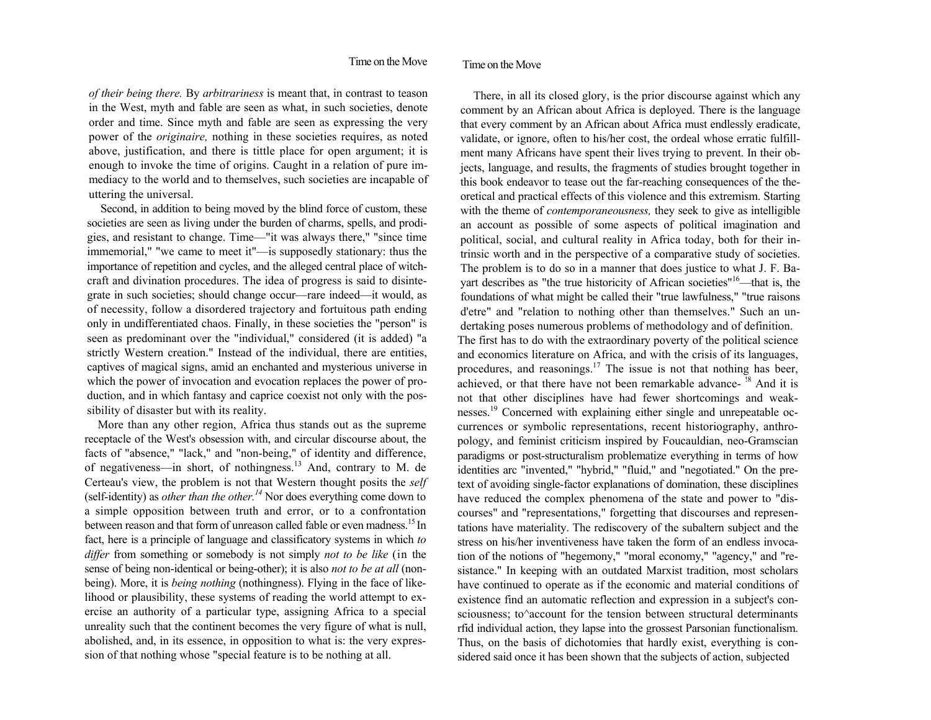*of their being there.* By *arbitrariness* is meant that, in contrast to teason in the West, myth and fable are seen as what, in such societies, denote order and time. Since myth and fable are seen as expressing the very power of the *originaire,* nothing in these societies requires, as noted above, justification, and there is tittle place for open argument; it is enough to invoke the time of origins. Caught in a relation of pure immediacy to the world and to themselves, such societies are incapable of uttering the universal.

Second, in addition to being moved by the blind force of custom, these societies are seen as living under the burden of charms, spells, and prodigies, and resistant to change. Time—"it was always there," "since time immemorial," "we came to meet it"—is supposedly stationary: thus the importance of repetition and cycles, and the alleged central place of witchcraft and divination procedures. The idea of progress is said to disintegrate in such societies; should change occur—rare indeed—it would, as of necessity, follow a disordered trajectory and fortuitous path ending only in undifferentiated chaos. Finally, in these societies the "person" is seen as predominant over the "individual," considered (it is added) "a strictly Western creation." Instead of the individual, there are entities, captives of magical signs, amid an enchanted and mysterious universe in which the power of invocation and evocation replaces the power of production, and in which fantasy and caprice coexist not only with the possibility of disaster but with its reality.

More than any other region, Africa thus stands out as the supreme receptacle of the West's obsession with, and circular discourse about, the facts of "absence," "lack," and "non-being," of identity and difference, of negativeness—in short, of nothingness.13 And, contrary to M. de Certeau's view, the problem is not that Western thought posits the *self*  (self-identity) as *other than the other.<sup>14</sup>* Nor does everything come down to a simple opposition between truth and error, or to a confrontation between reason and that form of unreason called fable or even madness.<sup>15</sup> In fact, here is a principle of language and classificatory systems in which *to differ* from something or somebody is not simply *not to be like* (in the sense of being non-identical or being-other); it is also *not to be at all* (nonbeing). More, it is *being nothing* (nothingness). Flying in the face of likelihood or plausibility, these systems of reading the world attempt to exercise an authority of a particular type, assigning Africa to a special unreality such that the continent becomes the very figure of what is null, abolished, and, in its essence, in opposition to what is: the very expression of that nothing whose "special feature is to be nothing at all.

There, in all its closed glory, is the prior discourse against which any comment by an African about Africa is deployed. There is the language that every comment by an African about Africa must endlessly eradicate, validate, or ignore, often to his/her cost, the ordeal whose erratic fulfillment many Africans have spent their lives trying to prevent. In their objects, language, and results, the fragments of studies brought together in this book endeavor to tease out the far-reaching consequences of the theoretical and practical effects of this violence and this extremism. Starting with the theme of *contemporaneousness,* they seek to give as intelligible an account as possible of some aspects of political imagination and political, social, and cultural reality in Africa today, both for their intrinsic worth and in the perspective of a comparative study of societies. The problem is to do so in a manner that does justice to what J. F. Bayart describes as "the true historicity of African societies"<sup>16</sup>—that is, the foundations of what might be called their "true lawfulness," "true raisons d'etre" and "relation to nothing other than themselves." Such an undertaking poses numerous problems of methodology and of definition. The first has to do with the extraordinary poverty of the political science and economics literature on Africa, and with the crisis of its languages, procedures, and reasonings.<sup>17</sup> The issue is not that nothing has beer, achieved, or that there have not been remarkable advance-<sup>18</sup> And it is not that other disciplines have had fewer shortcomings and weaknesses.19 Concerned with explaining either single and unrepeatable occurrences or symbolic representations, recent historiography, anthropology, and feminist criticism inspired by Foucauldian, neo-Gramscian paradigms or post-structuralism problematize everything in terms of how identities arc "invented," "hybrid," "fluid," and "negotiated." On the pretext of avoiding single-factor explanations of domination, these disciplines have reduced the complex phenomena of the state and power to "discourses" and "representations," forgetting that discourses and representations have materiality. The rediscovery of the subaltern subject and the stress on his/her inventiveness have taken the form of an endless invocation of the notions of "hegemony," "moral economy," "agency," and "resistance." In keeping with an outdated Marxist tradition, most scholars have continued to operate as if the economic and material conditions of existence find an automatic reflection and expression in a subject's consciousness; to^account for the tension between structural determinants rfid individual action, they lapse into the grossest Parsonian functionalism. Thus, on the basis of dichotomies that hardly exist, everything is considered said once it has been shown that the subjects of action, subjected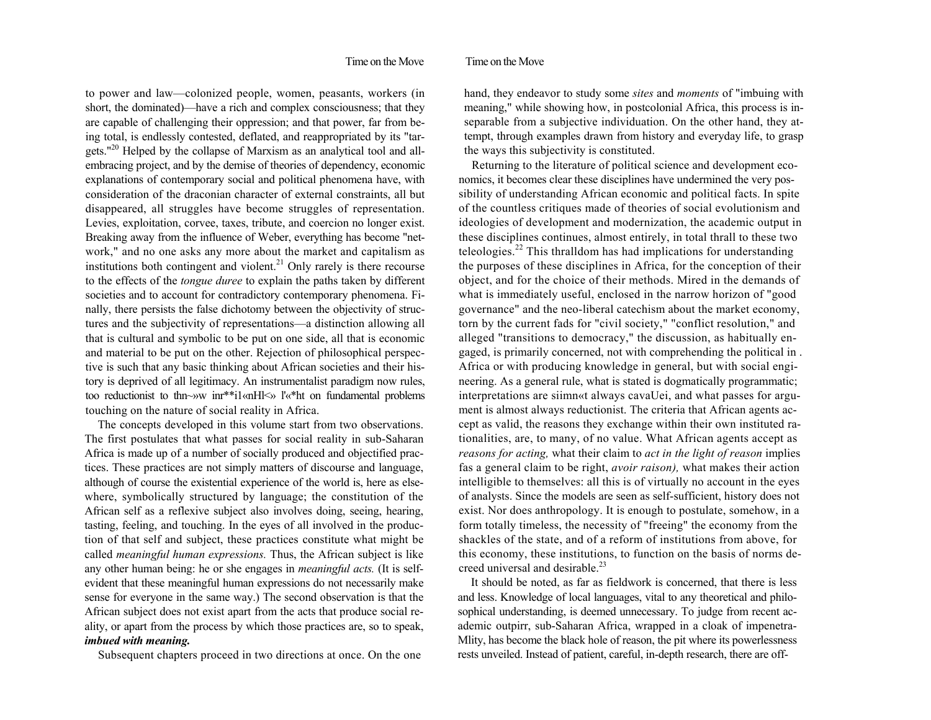# Time on the Move Time on the Move

to power and law—colonized people, women, peasants, workers (in short, the dominated)—have a rich and complex consciousness; that they are capable of challenging their oppression; and that power, far from being total, is endlessly contested, deflated, and reappropriated by its "targets."20 Helped by the collapse of Marxism as an analytical tool and allembracing project, and by the demise of theories of dependency, economic explanations of contemporary social and political phenomena have, with consideration of the draconian character of external constraints, all but disappeared, all struggles have become struggles of representation. Levies, exploitation, corvee, taxes, tribute, and coercion no longer exist. Breaking away from the influence of Weber, everything has become "network," and no one asks any more about the market and capitalism as institutions both contingent and violent.<sup>21</sup> Only rarely is there recourse to the effects of the *tongue duree* to explain the paths taken by different societies and to account for contradictory contemporary phenomena. Finally, there persists the false dichotomy between the objectivity of structures and the subjectivity of representations—a distinction allowing all that is cultural and symbolic to be put on one side, all that is economic and material to be put on the other. Rejection of philosophical perspective is such that any basic thinking about African societies and their history is deprived of all legitimacy. An instrumentalist paradigm now rules, too reductionist to thn~»w inr\*\*i1<nHl<» l'«\*ht on fundamental problems touching on the nature of social reality in Africa.

The concepts developed in this volume start from two observations. The first postulates that what passes for social reality in sub-Saharan Africa is made up of a number of socially produced and objectified practices. These practices are not simply matters of discourse and language, although of course the existential experience of the world is, here as elsewhere, symbolically structured by language; the constitution of the African self as a reflexive subject also involves doing, seeing, hearing, tasting, feeling, and touching. In the eyes of all involved in the production of that self and subject, these practices constitute what might be called *meaningful human expressions.* Thus, the African subject is like any other human being: he or she engages in *meaningful acts.* (It is selfevident that these meaningful human expressions do not necessarily make sense for everyone in the same way.) The second observation is that the African subject does not exist apart from the acts that produce social reality, or apart from the process by which those practices are, so to speak, *imbued with meaning.*

Subsequent chapters proceed in two directions at once. On the one

hand, they endeavor to study some *sites* and *moments* of "imbuing with meaning," while showing how, in postcolonial Africa, this process is inseparable from a subjective individuation. On the other hand, they attempt, through examples drawn from history and everyday life, to grasp the ways this subjectivity is constituted.

Returning to the literature of political science and development economics, it becomes clear these disciplines have undermined the very possibility of understanding African economic and political facts. In spite of the countless critiques made of theories of social evolutionism and ideologies of development and modernization, the academic output in these disciplines continues, almost entirely, in total thrall to these two teleologies.<sup>22</sup> This thralldom has had implications for understanding the purposes of these disciplines in Africa, for the conception of their object, and for the choice of their methods. Mired in the demands of what is immediately useful, enclosed in the narrow horizon of "good governance" and the neo-liberal catechism about the market economy, torn by the current fads for "civil society," "conflict resolution," and alleged "transitions to democracy," the discussion, as habitually engaged, is primarily concerned, not with comprehending the political in . Africa or with producing knowledge in general, but with social engineering. As a general rule, what is stated is dogmatically programmatic; interpretations are siimn«t always cavaUei, and what passes for argument is almost always reductionist. The criteria that African agents accept as valid, the reasons they exchange within their own instituted rationalities, are, to many, of no value. What African agents accept as *reasons for acting,* what their claim to *act in the light of reason* implies fas a general claim to be right, *avoir raison),* what makes their action intelligible to themselves: all this is of virtually no account in the eyes of analysts. Since the models are seen as self-sufficient, history does not exist. Nor does anthropology. It is enough to postulate, somehow, in a form totally timeless, the necessity of "freeing" the economy from the shackles of the state, and of a reform of institutions from above, for this economy, these institutions, to function on the basis of norms decreed universal and desirable.<sup>23</sup>

It should be noted, as far as fieldwork is concerned, that there is less and less. Knowledge of local languages, vital to any theoretical and philosophical understanding, is deemed unnecessary. To judge from recent academic outpirr, sub-Saharan Africa, wrapped in a cloak of impenetra-Mlity, has become the black hole of reason, the pit where its powerlessness rests unveiled. Instead of patient, careful, in-depth research, there are off-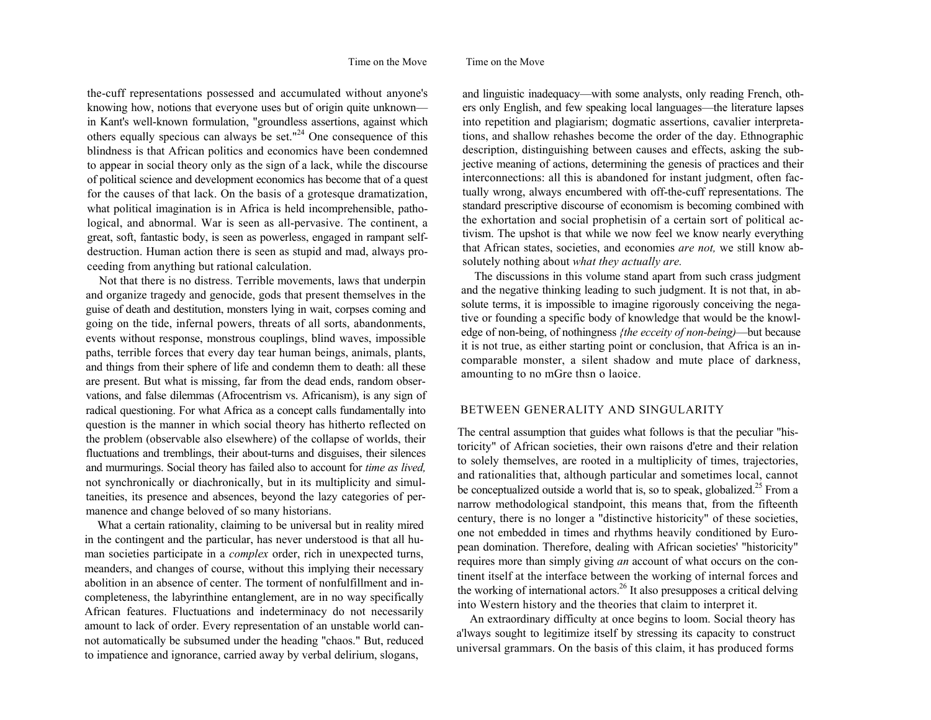the-cuff representations possessed and accumulated without anyone's knowing how, notions that everyone uses but of origin quite unknown in Kant's well-known formulation, "groundless assertions, against which others equally specious can always be set."<sup>24</sup> One consequence of this blindness is that African politics and economics have been condemned to appear in social theory only as the sign of a lack, while the discourse of political science and development economics has become that of a quest for the causes of that lack. On the basis of a grotesque dramatization, what political imagination is in Africa is held incomprehensible, pathological, and abnormal. War is seen as all-pervasive. The continent, a great, soft, fantastic body, is seen as powerless, engaged in rampant selfdestruction. Human action there is seen as stupid and mad, always proceeding from anything but rational calculation.

Not that there is no distress. Terrible movements, laws that underpin and organize tragedy and genocide, gods that present themselves in the guise of death and destitution, monsters lying in wait, corpses coming and going on the tide, infernal powers, threats of all sorts, abandonments, events without response, monstrous couplings, blind waves, impossible paths, terrible forces that every day tear human beings, animals, plants, and things from their sphere of life and condemn them to death: all these are present. But what is missing, far from the dead ends, random observations, and false dilemmas (Afrocentrism vs. Africanism), is any sign of radical questioning. For what Africa as a concept calls fundamentally into question is the manner in which social theory has hitherto reflected on the problem (observable also elsewhere) of the collapse of worlds, their fluctuations and tremblings, their about-turns and disguises, their silences and murmurings. Social theory has failed also to account for *time as lived,*  not synchronically or diachronically, but in its multiplicity and simultaneities, its presence and absences, beyond the lazy categories of permanence and change beloved of so many historians.

What a certain rationality, claiming to be universal but in reality mired in the contingent and the particular, has never understood is that all human societies participate in a *complex* order, rich in unexpected turns, meanders, and changes of course, without this implying their necessary abolition in an absence of center. The torment of nonfulfillment and incompleteness, the labyrinthine entanglement, are in no way specifically African features. Fluctuations and indeterminacy do not necessarily amount to lack of order. Every representation of an unstable world cannot automatically be subsumed under the heading "chaos." But, reduced to impatience and ignorance, carried away by verbal delirium, slogans,

and linguistic inadequacy—with some analysts, only reading French, others only English, and few speaking local languages—the literature lapses into repetition and plagiarism; dogmatic assertions, cavalier interpretations, and shallow rehashes become the order of the day. Ethnographic description, distinguishing between causes and effects, asking the subjective meaning of actions, determining the genesis of practices and their interconnections: all this is abandoned for instant judgment, often factually wrong, always encumbered with off-the-cuff representations. The standard prescriptive discourse of economism is becoming combined with the exhortation and social prophetisin of a certain sort of political activism. The upshot is that while we now feel we know nearly everything that African states, societies, and economies *are not,* we still know absolutely nothing about *what they actually are.*

The discussions in this volume stand apart from such crass judgment and the negative thinking leading to such judgment. It is not that, in absolute terms, it is impossible to imagine rigorously conceiving the negative or founding a specific body of knowledge that would be the knowledge of non-being, of nothingness *{the ecceity of non-being)*—but because it is not true, as either starting point or conclusion, that Africa is an incomparable monster, a silent shadow and mute place of darkness, amounting to no mGre thsn o laoice.

# BETWEEN GENERALITY AND SINGULARITY

The central assumption that guides what follows is that the peculiar "historicity" of African societies, their own raisons d'etre and their relation to solely themselves, are rooted in a multiplicity of times, trajectories, and rationalities that, although particular and sometimes local, cannot be conceptualized outside a world that is, so to speak, globalized.<sup>25</sup> From a narrow methodological standpoint, this means that, from the fifteenth century, there is no longer a "distinctive historicity" of these societies, one not embedded in times and rhythms heavily conditioned by European domination. Therefore, dealing with African societies' "historicity" requires more than simply giving *an* account of what occurs on the continent itself at the interface between the working of internal forces and the working of international actors.<sup>26</sup> It also presupposes a critical delving into Western history and the theories that claim to interpret it.

An extraordinary difficulty at once begins to loom. Social theory has <sup>a</sup>'lways sought to legitimize itself by stressing its capacity to construct universal grammars. On the basis of this claim, it has produced forms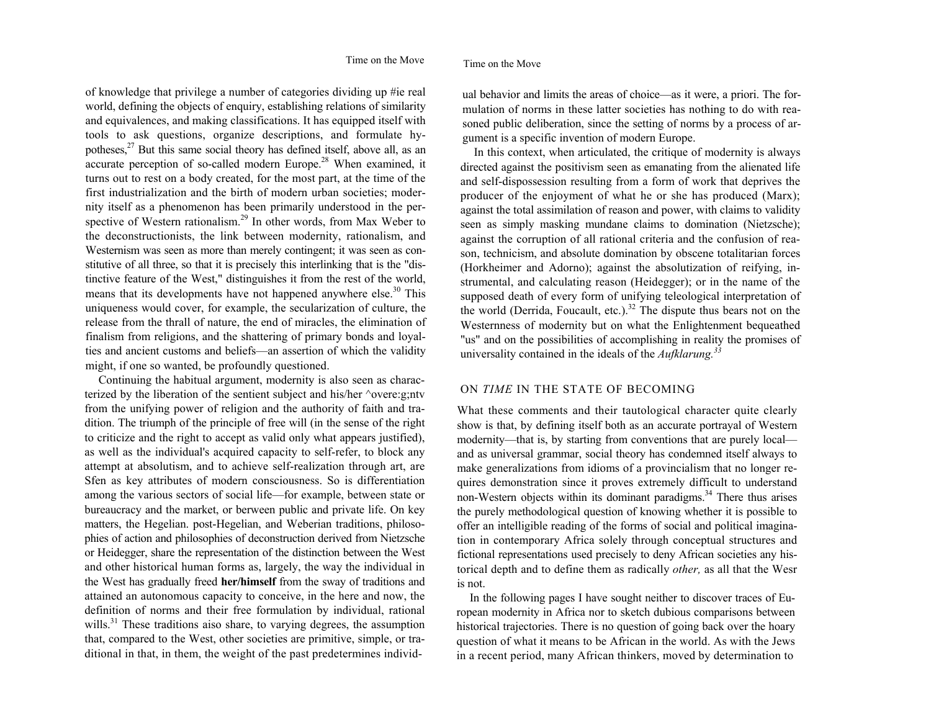of knowledge that privilege a number of categories dividing up #ie real world, defining the objects of enquiry, establishing relations of similarity and equivalences, and making classifications. It has equipped itself with tools to ask questions, organize descriptions, and formulate hypotheses, $27$  But this same social theory has defined itself, above all, as an accurate perception of so-called modern Europe.<sup>28</sup> When examined, it turns out to rest on a body created, for the most part, at the time of the first industrialization and the birth of modern urban societies; modernity itself as a phenomenon has been primarily understood in the perspective of Western rationalism.<sup>29</sup> In other words, from Max Weber to the deconstructionists, the link between modernity, rationalism, and Westernism was seen as more than merely contingent; it was seen as constitutive of all three, so that it is precisely this interlinking that is the "distinctive feature of the West," distinguishes it from the rest of the world, means that its developments have not happened anywhere  $else.^30$  This uniqueness would cover, for example, the secularization of culture, the release from the thrall of nature, the end of miracles, the elimination of finalism from religions, and the shattering of primary bonds and loyalties and ancient customs and beliefs—an assertion of which the validity might, if one so wanted, be profoundly questioned.

Continuing the habitual argument, modernity is also seen as characterized by the liberation of the sentient subject and his/her  $\gamma$ overe:g;ntv from the unifying power of religion and the authority of faith and tradition. The triumph of the principle of free will (in the sense of the right to criticize and the right to accept as valid only what appears justified), as well as the individual's acquired capacity to self-refer, to block any attempt at absolutism, and to achieve self-realization through art, are Sfen as key attributes of modern consciousness. So is differentiation among the various sectors of social life—for example, between state or bureaucracy and the market, or berween public and private life. On key matters, the Hegelian. post-Hegelian, and Weberian traditions, philosophies of action and philosophies of deconstruction derived from Nietzsche or Heidegger, share the representation of the distinction between the West and other historical human forms as, largely, the way the individual in the West has gradually freed **her/himself** from the sway of traditions and attained an autonomous capacity to conceive, in the here and now, the definition of norms and their free formulation by individual, rational wills.<sup>31</sup> These traditions aiso share, to varying degrees, the assumption that, compared to the West, other societies are primitive, simple, or traditional in that, in them, the weight of the past predetermines individual behavior and limits the areas of choice—as it were, a priori. The for mulation of norms in these latter societies has nothing to do with rea soned public deliberation, since the setting of norms by a process of ar-

gument is a specific invention of modern Europe.<br>In this context, when articulated, the critique of modernity is always<br>directed against the positivism seen as emanating from the alienated life<br>and self-dispossession resul son, technicism, and absolute domination by obscene totalitarian forces (Horkheimer and Adorno); against the absolutization of reifying, in strumental, and calculating reason (Heidegger); or in the name of the supposed death of every form of unifying teleological interpretation of the world (Derrida, Foucault, etc.).<sup>32</sup> The dispute thus bears not on the West

ON *TIME* IN THE STATE OF BECOMING<br>What these comments and their tautological character quite clearly<br>show is that, by defining itself both as an accurate portrayal of Western<br>modernity—that is, by starting from convention non-Western objects within its dominant paradigms.<sup>34</sup> There thus arises<br>the purely methodological question of knowing whether it is possible to<br>offer an intelligible reading of the forms of social and political imagination in contemporary Africa solely through conceptual structures and fictional representations used precisely to deny African societies any his torical depth and to define them as radically *other*, as all that the Wesr is not.<br>In the following pages I have sought neither to discover traces of Eu-

ropean modernity in Africa nor to sketch dubious comparisons between<br>historical trajectories. There is no question of going back over the hoary<br>question of what it means to be African in the world. As with the Jews<br>in a re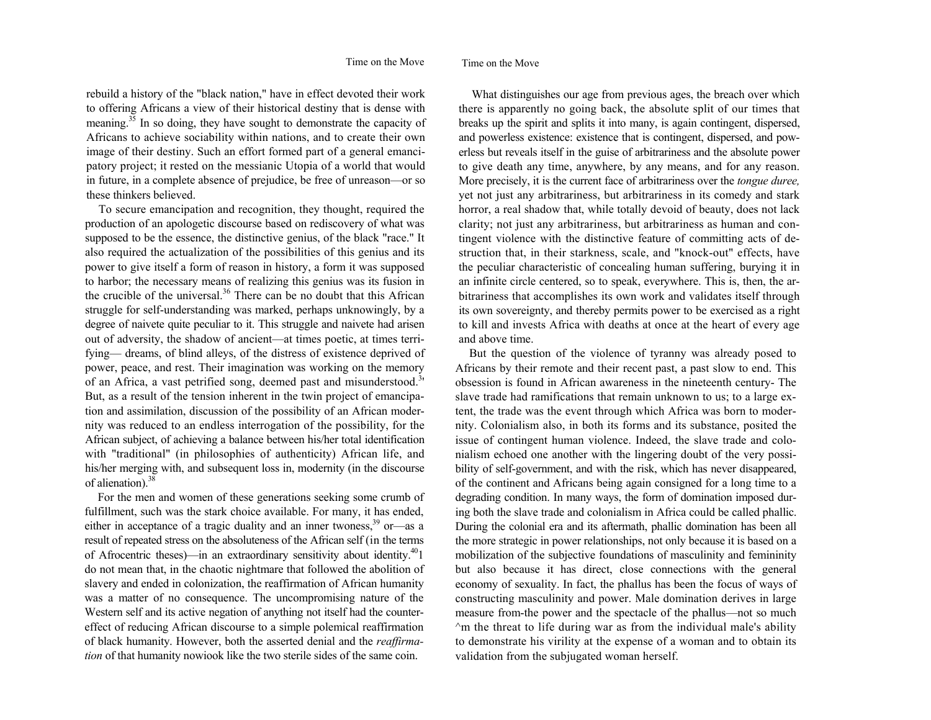rebuild a history of the "black nation," have in effect devoted their work to offering Africans a view of their historical destiny that is dense with meaning.<sup>35</sup> In so doing, they have sought to demonstrate the capacity of Africans to achieve sociability within nations, and to create their own image of their destiny. Such an effort formed part of a general emancipatory project; it rested on the messianic Utopia of a world that would in future, in a complete absence of prejudice, be free of unreason—or so these thinkers believed.

To secure emancipation and recognition, they thought, required the production of an apologetic discourse based on rediscovery of what was supposed to be the essence, the distinctive genius, of the black "race." It also required the actualization of the possibilities of this genius and its power to give itself a form of reason in history, a form it was supposed to harbor; the necessary means of realizing this genius was its fusion in the crucible of the universal. $36$  There can be no doubt that this African struggle for self-understanding was marked, perhaps unknowingly, by a degree of naivete quite peculiar to it. This struggle and naivete had arisen out of adversity, the shadow of ancient—at times poetic, at times terrifying— dreams, of blind alleys, of the distress of existence deprived of power, peace, and rest. Their imagination was working on the memory of an Africa, a vast petrified song, deemed past and misunderstood.<sup>3</sup>' But, as a result of the tension inherent in the twin project of emancipation and assimilation, discussion of the possibility of an African modernity was reduced to an endless interrogation of the possibility, for the African subject, of achieving a balance between his/her total identification with "traditional" (in philosophies of authenticity) African life, and his/her merging with, and subsequent loss in, modernity (in the discourse of alienation).<sup>38</sup>

For the men and women of these generations seeking some crumb of fulfillment, such was the stark choice available. For many, it has ended, either in acceptance of a tragic duality and an inner twoness,  $39$  or—as a result of repeated stress on the absoluteness of the African self (in the terms of Afrocentric theses)—in an extraordinary sensitivity about identity.401 do not mean that, in the chaotic nightmare that followed the abolition of slavery and ended in colonization, the reaffirmation of African humanity was a matter of no consequence. The uncompromising nature of the Western self and its active negation of anything not itself had the countereffect of reducing African discourse to a simple polemical reaffirmation of black humanity. However, both the asserted denial and the *reaffirmation* of that humanity nowiook like the two sterile sides of the same coin.

What distinguishes our age from previous ages, the breach over which there is apparently no going back, the absolute split of our times that breaks up the spirit and splits it into many, is again contingent, dispersed, and powerless existence: existence that is contingent, dispersed, and powerless but reveals itself in the guise of arbitrariness and the absolute power to give death any time, anywhere, by any means, and for any reason. More precisely, it is the current face of arbitrariness over the *tongue duree,*  yet not just any arbitrariness, but arbitrariness in its comedy and stark horror, a real shadow that, while totally devoid of beauty, does not lack clarity; not just any arbitrariness, but arbitrariness as human and contingent violence with the distinctive feature of committing acts of destruction that, in their starkness, scale, and "knock-out" effects, have the peculiar characteristic of concealing human suffering, burying it in an infinite circle centered, so to speak, everywhere. This is, then, the arbitrariness that accomplishes its own work and validates itself through its own sovereignty, and thereby permits power to be exercised as a right to kill and invests Africa with deaths at once at the heart of every age and above time.

But the question of the violence of tyranny was already posed to Africans by their remote and their recent past, a past slow to end. This obsession is found in African awareness in the nineteenth century- The slave trade had ramifications that remain unknown to us; to a large extent, the trade was the event through which Africa was born to modernity. Colonialism also, in both its forms and its substance, posited the issue of contingent human violence. Indeed, the slave trade and colonialism echoed one another with the lingering doubt of the very possibility of self-government, and with the risk, which has never disappeared, of the continent and Africans being again consigned for a long time to a degrading condition. In many ways, the form of domination imposed during both the slave trade and colonialism in Africa could be called phallic. During the colonial era and its aftermath, phallic domination has been all the more strategic in power relationships, not only because it is based on a mobilization of the subjective foundations of masculinity and femininity but also because it has direct, close connections with the general economy of sexuality. In fact, the phallus has been the focus of ways of constructing masculinity and power. Male domination derives in large measure from-the power and the spectacle of the phallus—not so much  $\gamma$ m the threat to life during war as from the individual male's ability to demonstrate his virility at the expense of a woman and to obtain its validation from the subjugated woman herself.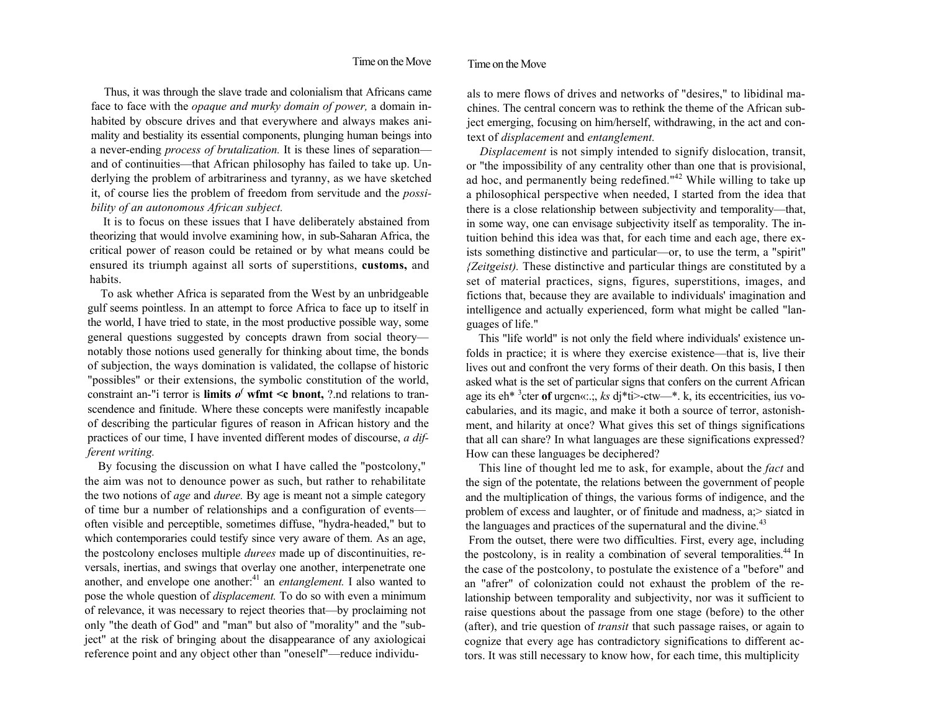Thus, it was through the slave trade and colonialism that Africans came face to face with the *opaque and murky domain of power,* a domain inhabited by obscure drives and that everywhere and always makes animality and bestiality its essential components, plunging human beings into a never-ending *process of brutalization.* It is these lines of separation and of continuities—that African philosophy has failed to take up. Underlying the problem of arbitrariness and tyranny, as we have sketched it, of course lies the problem of freedom from servitude and the *possibility of an autonomous African subject.*

It is to focus on these issues that I have deliberately abstained from theorizing that would involve examining how, in sub-Saharan Africa, the critical power of reason could be retained or by what means could be ensured its triumph against all sorts of superstitions, **customs,** and habits.

To ask whether Africa is separated from the West by an unbridgeable gulf seems pointless. In an attempt to force Africa to face up to itself in the world, I have tried to state, in the most productive possible way, some general questions suggested by concepts drawn from social theory notably those notions used generally for thinking about time, the bonds of subjection, the ways domination is validated, the collapse of historic "possibles" or their extensions, the symbolic constitution of the world, constraint an-"i terror is **limits**  $o^{\prime}$  **wfmt <c bnont,** ?.nd relations to transcendence and finitude. Where these concepts were manifestly incapable of describing the particular figures of reason in African history and the practices of our time, I have invented different modes of discourse, *a different writing.*

By focusing the discussion on what I have called the "postcolony," the aim was not to denounce power as such, but rather to rehabilitate the two notions of *age* and *duree.* By age is meant not a simple category of time bur a number of relationships and a configuration of events often visible and perceptible, sometimes diffuse, "hydra-headed," but to which contemporaries could testify since very aware of them. As an age, the postcolony encloses multiple *durees* made up of discontinuities, reversals, inertias, and swings that overlay one another, interpenetrate one another, and envelope one another:<sup>41</sup> an *entanglement*. I also wanted to pose the whole question of *displacement.* To do so with even a minimum of relevance, it was necessary to reject theories that—by proclaiming not only "the death of God" and "man" but also of "morality" and the "subject" at the risk of bringing about the disappearance of any axiologicai reference point and any object other than "oneself"—reduce individuals to mere flows of drives and networks of "desires," to libidinal ma chines. The central concern was to rethink the theme of the African subject emerging, focusing on him/herself, withdrawing, in the act and con text of *displacement* and *entanglement.*

*Displacement* is not simply intended to signify dislocation, transit, or "the impossibility of any centrality other than one that is provisional, ad hoc, and permanently being redefined."<sup>42</sup> While willing to take up a p tuition behind this idea was that, for each time and each age, there ex ists something distinctive and particular—or, to use the term, a "spirit" {Zeitgeist). These distinctive and particular things are constituted by a set of material practices, signs, figures, superstitions, images, and fictions that, because they are available to individuals' imagination and inte guages of life." This "life world" is not only the field where individuals' existence un-

folds in practice; it is where they exercise existence—that is, live their<br>lives out and confront the very forms of their death. On this basis, I then<br>asked what is the set of particular signs that confers on the current cabularies, and its magic, and make it both a source of terror, astonish-

ment, and hilarity at once? What gives this set of things significations<br>that all can share? In what languages are these significations expressed?<br>How can these languages be deciphered?<br>This line of thought led me to ask,

From the outset, there were two difficulties. First, every age, including<br>the postcolony, is in reality a combination of several temporalities.<sup>44</sup> In<br>the case of the postcolony, to postulate the existence of a "before" an lationship between temporality and subjectivity, nor was it sufficient to raise questions about the passage from one stage (before) to the other (after), and trie question of *transit* that such passage raises, or again to tors. It was still necessary to know how, for each time, this multiplicity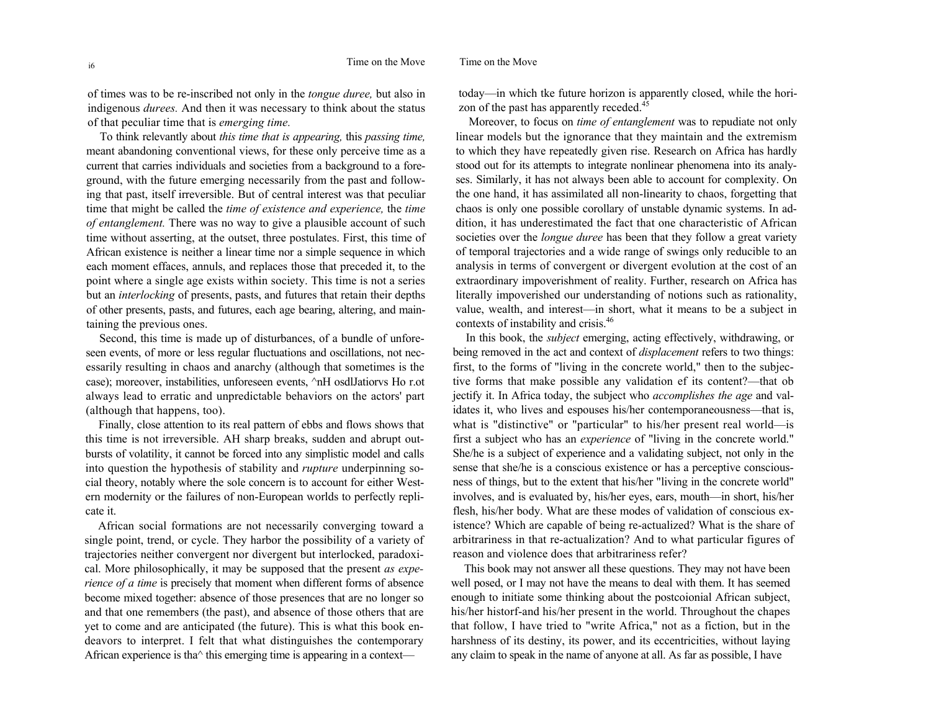of times was to be re-inscribed not only in the *tongue duree,* but also in indigenous *durees.* And then it was necessary to think about the status of that peculiar time that is *emerging time.*

To think relevantly about *this time that is appearing,* this *passing time,*  meant abandoning conventional views, for these only perceive time as a current that carries individuals and societies from a background to a foreground, with the future emerging necessarily from the past and following that past, itself irreversible. But of central interest was that peculiar time that might be called the *time of existence and experience,* the *time of entanglement.* There was no way to give a plausible account of such time without asserting, at the outset, three postulates. First, this time of African existence is neither a linear time nor a simple sequence in which each moment effaces, annuls, and replaces those that preceded it, to the point where a single age exists within society. This time is not a series but an *interlocking* of presents, pasts, and futures that retain their depths of other presents, pasts, and futures, each age bearing, altering, and maintaining the previous ones.

Second, this time is made up of disturbances, of a bundle of unforeseen events, of more or less regular fluctuations and oscillations, not necessarily resulting in chaos and anarchy (although that sometimes is the case); moreover, instabilities, unforeseen events, ^nH osdlJatiorvs Ho r.ot always lead to erratic and unpredictable behaviors on the actors' part (although that happens, too).

Finally, close attention to its real pattern of ebbs and flows shows that this time is not irreversible. AH sharp breaks, sudden and abrupt outbursts of volatility, it cannot be forced into any simplistic model and calls into question the hypothesis of stability and *rupture* underpinning social theory, notably where the sole concern is to account for either Western modernity or the failures of non-European worlds to perfectly replicate it.

African social formations are not necessarily converging toward a single point, trend, or cycle. They harbor the possibility of a variety of trajectories neither convergent nor divergent but interlocked, paradoxical. More philosophically, it may be supposed that the present *as experience of a time* is precisely that moment when different forms of absence become mixed together: absence of those presences that are no longer so and that one remembers (the past), and absence of those others that are yet to come and are anticipated (the future). This is what this book endeavors to interpret. I felt that what distinguishes the contemporary African experience is tha^ this emerging time is appearing in a context—

today—in which tke future horizon is apparently closed, while the horizon of the past has apparently receded.<sup>45</sup>

Moreover, to focus on *time of entanglement* was to repudiate not only linear models but the ignorance that they maintain and the extremism to which they have repeatedly given rise. Research on Africa has hardly stood out for its attempts to integrate nonlinear phenomena into its analyses. Similarly, it has not always been able to account for complexity. On the one hand, it has assimilated all non-linearity to chaos, forgetting that chaos is only one possible corollary of unstable dynamic systems. In addition, it has underestimated the fact that one characteristic of African societies over the *longue duree* has been that they follow a great variety of temporal trajectories and a wide range of swings only reducible to an analysis in terms of convergent or divergent evolution at the cost of an extraordinary impoverishment of reality. Further, research on Africa has literally impoverished our understanding of notions such as rationality, value, wealth, and interest—in short, what it means to be a subject in contexts of instability and crisis.<sup>46</sup>

In this book, the *subject* emerging, acting effectively, withdrawing, or being removed in the act and context of *displacement* refers to two things: first, to the forms of "living in the concrete world," then to the subjective forms that make possible any validation ef its content?—that ob jectify it. In Africa today, the subject who *accomplishes the age* and validates it, who lives and espouses his/her contemporaneousness—that is, what is "distinctive" or "particular" to his/her present real world—is first a subject who has an *experience* of "living in the concrete world." She/he is a subject of experience and a validating subject, not only in the sense that she/he is a conscious existence or has a perceptive consciousness of things, but to the extent that his/her "living in the concrete world" involves, and is evaluated by, his/her eyes, ears, mouth—in short, his/her flesh, his/her body. What are these modes of validation of conscious existence? Which are capable of being re-actualized? What is the share of arbitrariness in that re-actualization? And to what particular figures of reason and violence does that arbitrariness refer?

This book may not answer all these questions. They may not have been well posed, or I may not have the means to deal with them. It has seemed enough to initiate some thinking about the postcoionial African subject, his/her historf-and his/her present in the world. Throughout the chapes that follow, I have tried to "write Africa," not as a fiction, but in the harshness of its destiny, its power, and its eccentricities, without laying any claim to speak in the name of anyone at all. As far as possible, I have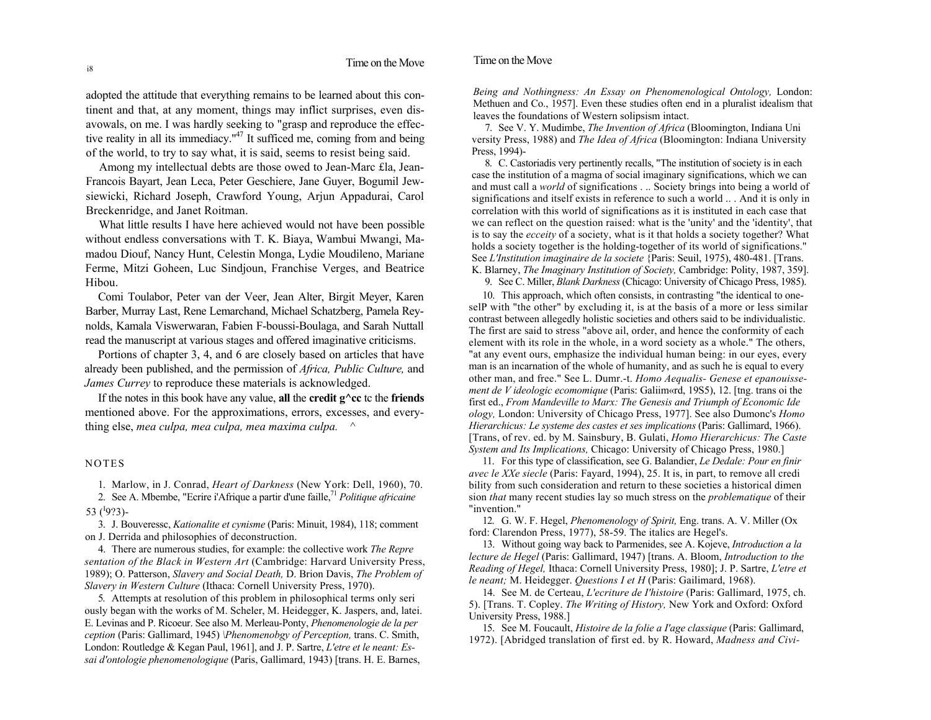# Time on the Move<br>Time on the Move

adopted the attitude that everything remains to be learned about this continent and that, at any moment, things may inflict surprises, even disavowals, on me. I was hardly seeking to "grasp and reproduce the effective reality in all its immediacy."<sup>47</sup> It sufficed me, coming from and being of the world, to try to say what, it is said, seems to resist being said.

Among my intellectual debts are those owed to Jean-Marc £la, Jean-Francois Bayart, Jean Leca, Peter Geschiere, Jane Guyer, Bogumil Jewsiewicki, Richard Joseph, Crawford Young, Arjun Appadurai, Carol Breckenridge, and Janet Roitman.

What little results I have here achieved would not have been possible without endless conversations with T. K. Biaya, Wambui Mwangi, Mamadou Diouf, Nancy Hunt, Celestin Monga, Lydie Moudileno, Mariane Ferme, Mitzi Goheen, Luc Sindjoun, Franchise Verges, and Beatrice Hibou.

Comi Toulabor, Peter van der Veer, Jean Alter, Birgit Meyer, Karen Barber, Murray Last, Rene Lemarchand, Michael Schatzberg, Pamela Reynolds, Kamala Viswerwaran, Fabien F-boussi-Boulaga, and Sarah Nuttall read the manuscript at various stages and offered imaginative criticisms.

Portions of chapter 3, 4, and 6 are closely based on articles that have already been published, and the permission of *Africa, Public Culture,* and *James Currey* to reproduce these materials is acknowledged.

If the notes in this book have any value, **all** the **credit**  $g^{\wedge}$ **cc** tc the **friends** mentioned above. For the approximations, errors, excesses, and everything else, *mea culpa, mea culpa, mea maxima culpa.* ^

#### NOTES

1. Marlow, in J. Conrad, *Heart of Darkness* (New York: Dell, 1960), 70.

2. See A. Mbembe, "Ecrire i'Afrique a partir d'une faille,<sup>71</sup> *Politique africaine* 53  $(^{I}9?3)$ -

3. J. Bouveressc, *Kationalite et cynisme* (Paris: Minuit, 1984), 118; comment on J. Derrida and philosophies of deconstruction.

4. There are numerous studies, for example: the collective work *The Repre sentation of the Black in Western Art* (Cambridge: Harvard University Press, 1989); O. Patterson, *Slavery and Social Death,* D. Brion Davis, *The Problem of Slavery in Western Culture* (Ithaca: Cornell University Press, 1970).

5. Attempts at resolution of this problem in philosophical terms only seri ously began with the works of M. Scheler, M. Heidegger, K. Jaspers, and, latei. E. Levinas and P. Ricoeur. See also M. Merleau-Ponty, *Phenomenologie de la per ception* (Paris: Gallimard, 1945) *\Phenomenobgy of Perception,* trans. C. Smith, London: Routledge & Kegan Paul, 1961], and J. P. Sartre, *L'etre et le neant: Essai d'ontologie phenomenologique* (Paris, Gallimard, 1943) [trans. H. E. Barnes,

*Being and Nothingness: An Essay on Phenomenological Ontology,* London: Methuen and Co., 1957]. Even these studies often end in a pluralist idealism that leaves the foundations of Western solipsism intact.

7. See V. Y. Mudimbe, *The Invention of Africa* (Bloomington, Indiana Uni versity Press, 1988) and *The Idea of Africa* (Bloomington: Indiana University Press, 1994)-

8. C. Castoriadis very pertinently recalls, "The institution of society is in each case the institution of a magma of social imaginary significations, which we can and must call a *world* of significations . .. Society brings into being a world of significations and itself exists in reference to such a world .. . And it is only in correlation with this world of significations as it is instituted in each case that we can reflect on the question raised: what is the 'unity' and the 'identity', that is to say the *ecceity* of a society, what is it that holds a society together? What holds a society together is the holding-together of its world of significations." See *L'Institution imaginaire de la societe* {Paris: Seuil, 1975), 480-481. [Trans. K. Blarney, *The Imaginary Institution of Society,* Cambridge: Polity, 1987, 359].

9. See C. Miller, *Blank Darkness* (Chicago: University of Chicago Press, 1985).

10. This approach, which often consists, in contrasting "the identical to oneselP with "the other" by excluding it, is at the basis of a more or less similar contrast between allegedly holistic societies and others said to be individualistic. The first are said to stress "above ail, order, and hence the conformity of each element with its role in the whole, in a word society as a whole." The others, "at any event ours, emphasize the individual human being: in our eyes, every man is an incarnation of the whole of humanity, and as such he is equal to every other man, and free." See L. Dumr.-t. *Homo Aequalis- Genese et epanouissement de V ideologic ecomomique* (Paris: Galiim«rd, 19S5), 12. [tng. trans oi the first ed., *From Mandeville to Marx: The Genesis and Triumph of Economic Ide ology,* London: University of Chicago Press, 1977]. See also Dumonc's *Homo Hierarchicus: Le systeme des castes et ses implications* (Paris: Gallimard, 1966). [Trans, of rev. ed. by M. Sainsbury, B. Gulati, *Homo Hierarchicus: The Caste System and Its Implications,* Chicago: University of Chicago Press, 1980.]

11. For this type of classification, see G. Balandier, *Le Dedale: Pour en finir avec le XXe siecle* (Paris: Fayard, 1994), 25. It is, in part, to remove all credi bility from such consideration and return to these societies a historical dimen sion *that* many recent studies lay so much stress on the *problematique* of their "invention."

12. G. W. F. Hegel, *Phenomenology of Spirit,* Eng. trans. A. V. Miller (Ox ford: Clarendon Press, 1977), 58-59. The italics are Hegel's.

13. Without going way back to Parmenides, see A. Kojeve, *Introduction a la lecture de Hegel* (Paris: Gallimard, 1947) [trans. A. Bloom, *Introduction to the Reading of Hegel,* Ithaca: Cornell University Press, 1980]; J. P. Sartre, *L'etre et le neant;* M. Heidegger. *Questions I et H* (Paris: Gailimard, 1968).

14. See M. de Certeau, *L'ecriture de I'histoire* (Paris: Gallimard, 1975, ch. 5). [Trans. T. Copley. *The Writing of History,* New York and Oxford: Oxford University Press, 1988.]

15. See M. Foucault, *Histoire de la folie a I'age classique* (Paris: Gallimard, 1972). [Abridged translation of first ed. by R. Howard, *Madness and Civi-*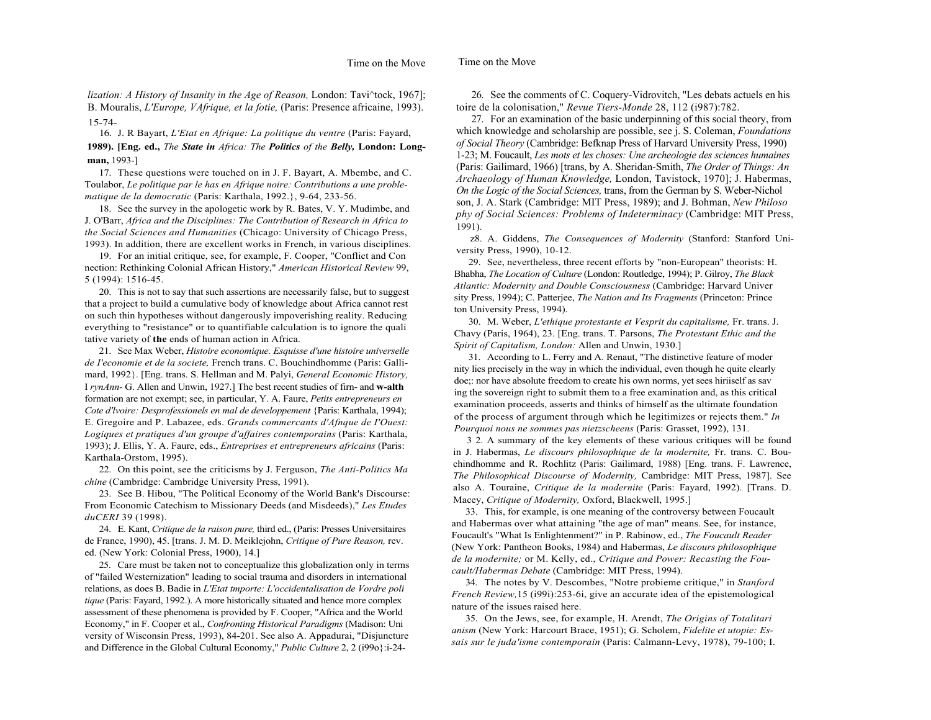*lization: A History of Insanity in the Age of Reason, London: Tavi* tock, 1967]; B. Mouralis, *L'Europe, VAfrique, et la fotie,* (Paris: Presence africaine, 1993). 15-74-

16. J. R Bayart, *L'Etat en Afrique: La politique du ventre* (Paris: Fayard, **1989). [Eng. ed.,** *The State in Africa: The Politics of the Belly,* **London: Longman,** 1993-]

17. These questions were touched on in J. F. Bayart, A. Mbembe, and C. Toulabor, *Le politique par le has en Afrique noire: Contributions a une problematique de la democratic* (Paris: Karthala, 1992.}, 9-64, 233-56.

18. See the survey in the apologetic work by R. Bates, V. Y. Mudimbe, and J. O'Barr, *Africa and the Disciplines: The Contribution of Research in Africa to the Social Sciences and Humanities* (Chicago: University of Chicago Press, 1993). In addition, there are excellent works in French, in various disciplines.

19. For an initial critique, see, for example, F. Cooper, "Conflict and Con nection: Rethinking Colonial African History," *American Historical Review* 99, 5 (1994): 1516-45.

20. This is not to say that such assertions are necessarily false, but to suggest that a project to build a cumulative body of knowledge about Africa cannot rest on such thin hypotheses without dangerously impoverishing reality. Reducing everything to "resistance" or to quantifiable calculation is to ignore the quali tative variety of **the** ends of human action in Africa.

21. See Max Weber, *Histoire economique. Esquisse d'une histoire universelle de I'economie et de la societe,* French trans. C. Bouchindhomme (Paris: Gallimard, 1992}. [Eng. trans. S. Hellman and M. Palyi, *General Economic History,*  I *rynAnn-* G. Allen and Unwin, 1927.] The best recent studies of firn- and **w-alth**  formation are not exempt; see, in particular, Y. A. Faure, *Petits entrepreneurs en Cote d'lvoire: Desprofessionels en mal de developpement* {Paris: Karthala, 1994); E. Gregoire and P. Labazee, eds. *Grands commercants d'Afnque de I'Ouest: Logiques et pratiques d'un groupe d'affaires contemporains* (Paris: Karthala, 1993); J. Ellis, Y. A. Faure, eds., *Entreprises et entrepreneurs africains* (Paris: Karthala-Orstom, 1995).

22. On this point, see the criticisms by J. Ferguson, *The Anti-Politics Ma chine* (Cambridge: Cambridge University Press, 1991).

23. See B. Hibou, "The Political Economy of the World Bank's Discourse: From Economic Catechism to Missionary Deeds (and Misdeeds)," *Les Etudes duCERI* 39 (1998).

24. E. Kant, *Critique de la raison pure,* third ed., (Paris: Presses Universitaires de France, 1990), 45. [trans. J. M. D. Meiklejohn, *Critique of Pure Reason,* rev. ed. (New York: Colonial Press, 1900), 14.]

25. Care must be taken not to conceptualize this globalization only in terms of "failed Westernization" leading to social trauma and disorders in international relations, as does B. Badie in *L'Etat tmporte: L'occidentalisation de Vordre poli tique* (Paris: Fayard, 1992.). A more historically situated and hence more complex assessment of these phenomena is provided by F. Cooper, "Africa and the World Economy," in F. Cooper et al., *Confronting Historical Paradigms* (Madison: Uni versity of Wisconsin Press, 1993), 84-201. See also A. Appadurai, "Disjuncture and Difference in the Global Cultural Economy," *Public Culture* 2, 2 (i99o}:i-24-

26. See the comments of C. Coquery-Vidrovitch, "Les debats actuels en his toire de la colonisation," *Revue Tiers-Monde* 28, 112 (i987):782.

27. For an examination of the basic underpinning of this social theory, from which knowledge and scholarship are possible, see j. S. Coleman, *Foundations of Social Theory* (Cambridge: Befknap Press of Harvard University Press, 1990) 1-23; M. Foucault, *Les mots et les choses: Une archeologie des sciences humaines*  (Paris: Gailimard, 1966) [trans, by A. Sheridan-Smith, *The Order of Things: An Archaeology of Human Knowledge,* London, Tavistock, 1970]; J. Habermas, *On the Logic of the Social Sciences,* trans, from the German by S. Weber-Nichol son, J. A. Stark (Cambridge: MIT Press, 1989); and J. Bohman, *New Philoso phy of Social Sciences: Problems of Indeterminacy* (Cambridge: MIT Press, 1991).

z8. A. Giddens, *The Consequences of Modernity* (Stanford: Stanford University Press, 1990), 10-12.

29. See, nevertheless, three recent efforts by "non-European" theorists: H. Bhabha, *The Location of Culture* (London: Routledge, 1994); P. Gilroy, *The Black Atlantic: Modernity and Double Consciousness* (Cambridge: Harvard Univer sity Press, 1994); C. Patterjee, *The Nation and Its Fragments* (Princeton: Prince ton University Press, 1994).

30. M. Weber, *L'ethique protestante et Vesprit du capitalisme,* Fr. trans. J. Chavy (Paris, 1964), 23. [Eng. trans. T. Parsons, *The Protestant Ethic and the Spirit of Capitalism, London:* Allen and Unwin, 1930.]

31. According to L. Ferry and A. Renaut, "The distinctive feature of moder nity lies precisely in the way in which the individual, even though he quite clearly doe;: nor have absolute freedom to create his own norms, yet sees hiriiself as sav ing the sovereign right to submit them to a free examination and, as this critical examination proceeds, asserts and thinks of himself as the ultimate foundation of the process of argument through which he legitimizes or rejects them." *In Pourquoi nous ne sommes pas nietzscheens* (Paris: Grasset, 1992), 131.

3 2. A summary of the key elements of these various critiques will be found in J. Habermas, *Le discours philosophique de la modernite,* Fr. trans. C. Bouchindhomme and R. Rochlitz (Paris: Gailimard, 1988) [Eng. trans. F. Lawrence, *The Philosophical Discourse of Modernity,* Cambridge: MIT Press, 1987]. See also A. Touraine, *Critique de la modernite* (Paris: Fayard, 1992). [Trans. D. Macey, *Critique of Modernity,* Oxford, Blackwell, 1995.]

33. This, for example, is one meaning of the controversy between Foucault and Habermas over what attaining "the age of man" means. See, for instance, Foucault's "What Is Enlightenment?" in P. Rabinow, ed., *The Foucault Reader*  (New York: Pantheon Books, 1984) and Habermas, *Le discours philosophique de la modernite;* or M. Kelly, ed., *Critique and Power: Recasting the Foucault/Habermas Debate* (Cambridge: MIT Press, 1994).

34. The notes by V. Descombes, "Notre probieme critique," in *Stanford French Review,*15 (i99i):253-6i, give an accurate idea of the epistemological nature of the issues raised here.

35. On the Jews, see, for example, H. Arendt, *The Origins of Totalitari anism* (New York: Harcourt Brace, 1951); G. Scholem, *Fidelite et utopie: Essais sur le juda'isme contemporain* (Paris: Calmann-Levy, 1978), 79-100; I.